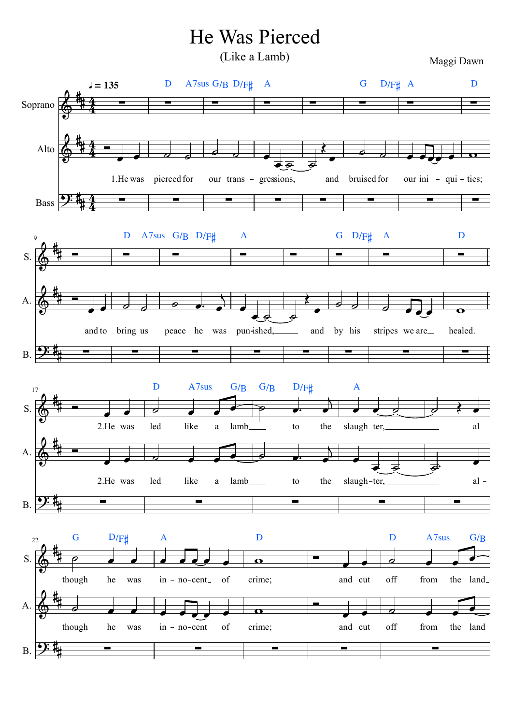## He Was Pierced

(Like a Lamb)

Maggi Dawn